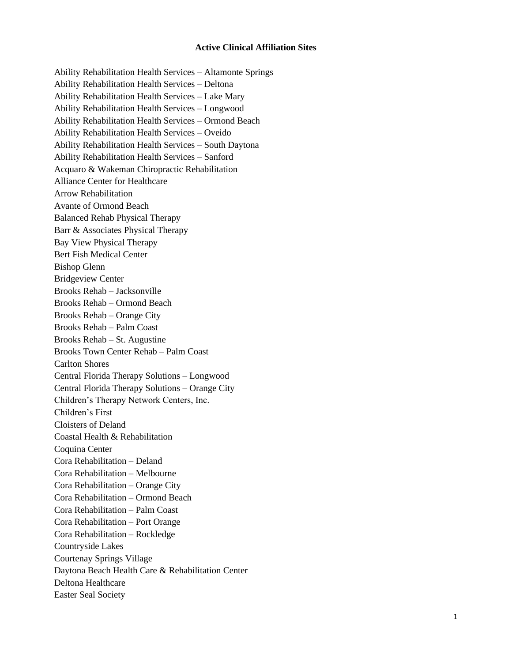## **Active Clinical Affiliation Sites**

Ability Rehabilitation Health Services – Altamonte Springs Ability Rehabilitation Health Services – Deltona Ability Rehabilitation Health Services – Lake Mary Ability Rehabilitation Health Services – Longwood Ability Rehabilitation Health Services – Ormond Beach Ability Rehabilitation Health Services – Oveido Ability Rehabilitation Health Services – South Daytona Ability Rehabilitation Health Services – Sanford Acquaro & Wakeman Chiropractic Rehabilitation Alliance Center for Healthcare Arrow Rehabilitation Avante of Ormond Beach Balanced Rehab Physical Therapy Barr & Associates Physical Therapy Bay View Physical Therapy Bert Fish Medical Center Bishop Glenn Bridgeview Center Brooks Rehab – Jacksonville Brooks Rehab – Ormond Beach Brooks Rehab – Orange City Brooks Rehab – Palm Coast Brooks Rehab – St. Augustine Brooks Town Center Rehab – Palm Coast Carlton Shores Central Florida Therapy Solutions – Longwood Central Florida Therapy Solutions – Orange City Children's Therapy Network Centers, Inc. Children's First Cloisters of Deland Coastal Health & Rehabilitation Coquina Center Cora Rehabilitation – Deland Cora Rehabilitation – Melbourne Cora Rehabilitation – Orange City Cora Rehabilitation – Ormond Beach Cora Rehabilitation – Palm Coast Cora Rehabilitation – Port Orange Cora Rehabilitation – Rockledge Countryside Lakes Courtenay Springs Village Daytona Beach Health Care & Rehabilitation Center Deltona Healthcare Easter Seal Society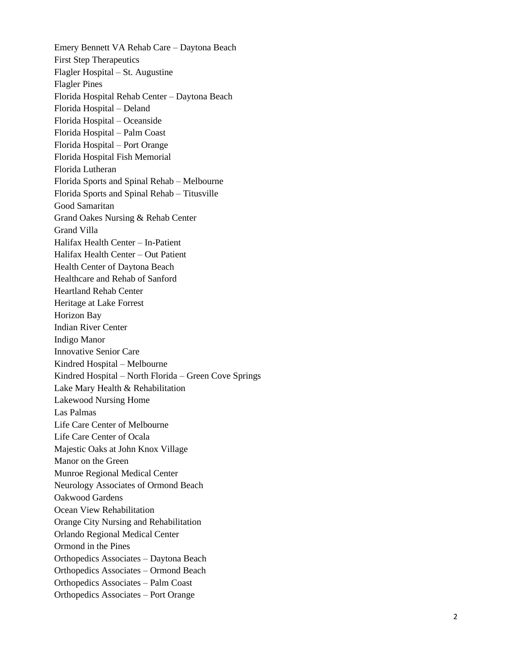Emery Bennett VA Rehab Care – Daytona Beach First Step Therapeutics Flagler Hospital – St. Augustine Flagler Pines Florida Hospital Rehab Center – Daytona Beach Florida Hospital – Deland Florida Hospital – Oceanside Florida Hospital – Palm Coast Florida Hospital – Port Orange Florida Hospital Fish Memorial Florida Lutheran Florida Sports and Spinal Rehab – Melbourne Florida Sports and Spinal Rehab – Titusville Good Samaritan Grand Oakes Nursing & Rehab Center Grand Villa Halifax Health Center – In -Patient Halifax Health Center – Out Patient Health Center of Daytona Beach Healthcare and Rehab of Sanford Heartland Rehab Center Heritage at Lake Forrest Horizon Bay Indian River Center Indigo Manor Innovative Senior Care Kindred Hospital – Melbourne Kindred Hospital – North Florida – Green Cove Springs Lake Mary Health & Rehabilitation Lakewood Nursing Home Las Palmas Life Care Center of Melbourne Life Care Center of Ocala Majestic Oaks at John Knox Village Manor on the Green Munroe Regional Medical Center Neurology Associates of Ormond Beach Oakwood Gardens Ocean View Rehabilitation Orange City Nursing and Rehabilitation Orlando Regional Medical Center Ormond in the Pines Orthopedics Associates – Daytona Beach Orthopedics Associates – Ormond Beach Orthopedics Associates – Palm Coast Orthopedics Associates – Port Orange